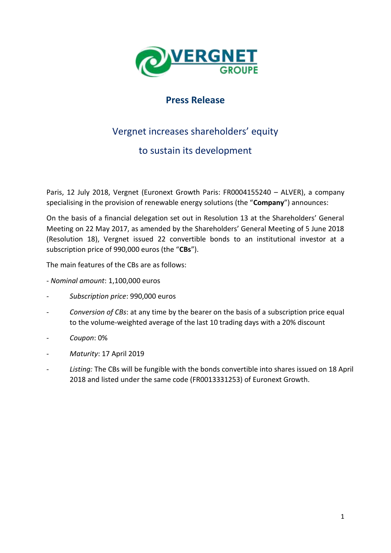

## **Press Release**

## Vergnet increases shareholders' equity

## to sustain its development

Paris, 12 July 2018, Vergnet (Euronext Growth Paris: FR0004155240 – ALVER), a company specialising in the provision of renewable energy solutions (the "**Company**") announces:

On the basis of a financial delegation set out in Resolution 13 at the Shareholders' General Meeting on 22 May 2017, as amended by the Shareholders' General Meeting of 5 June 2018 (Resolution 18), Vergnet issued 22 convertible bonds to an institutional investor at a subscription price of 990,000 euros (the "**CBs**").

The main features of the CBs are as follows:

- *Nominal amount*: 1,100,000 euros
- *Subscription price*: 990,000 euros
- *Conversion of CBs*: at any time by the bearer on the basis of a subscription price equal to the volume-weighted average of the last 10 trading days with a 20% discount
- *Coupon*: 0%
- *Maturity*: 17 April 2019
- *Listing:* The CBs will be fungible with the bonds convertible into shares issued on 18 April 2018 and listed under the same code (FR0013331253) of Euronext Growth.